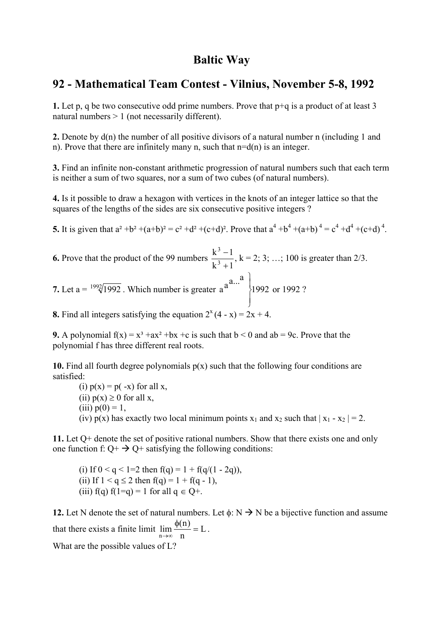### **Baltic Way**

### **92 - Mathematical Team Contest - Vilnius, November 5-8, 1992**

**1.** Let p, q be two consecutive odd prime numbers. Prove that p+q is a product of at least 3 natural numbers > 1 (not necessarily different).

**2.** Denote by d(n) the number of all positive divisors of a natural number n (including 1 and n). Prove that there are infinitely many n, such that  $n=d(n)$  is an integer.

**3.** Find an infinite non-constant arithmetic progression of natural numbers such that each term is neither a sum of two squares, nor a sum of two cubes (of natural numbers).

**4.** Is it possible to draw a hexagon with vertices in the knots of an integer lattice so that the squares of the lengths of the sides are six consecutive positive integers ?

**5.** It is given that  $a^2 + b^2 + (a+b)^2 = c^2 + d^2 + (c+d)^2$ . Prove that  $a^4 + b^4 + (a+b)^4 = c^4 + d^4 + (c+d)^4$ .

**6.** Prove that the product of the 99 numbers  $\frac{k^3 - 1}{k^3 + 1}$ 3 3 +  $\frac{-1}{\cdots}$ , k = 2; 3; ...; 100 is greater than 2/3. **7.** Let a =  $\sqrt[1992]{1992}$ . Which number is greater a<sup>a... 2</sup> 1992  $\overline{a}$  $\overline{a}$ 

 $\int$  $\left\{ \right\}$ or 1992 ?

**8.** Find all integers satisfying the equation  $2^{x}(4 - x) = 2x + 4$ .

**9.** A polynomial  $f(x) = x^3 + ax^2 + bx + c$  is such that  $b < 0$  and  $ab = 9c$ . Prove that the polynomial f has three different real roots.

**10.** Find all fourth degree polynomials p(x) such that the following four conditions are satisfied:

(i)  $p(x) = p(-x)$  for all x, (ii)  $p(x) \ge 0$  for all x, (iii)  $p(0) = 1$ , (iv)  $p(x)$  has exactly two local minimum points  $x_1$  and  $x_2$  such that  $|x_1 - x_2| = 2$ .

**11.** Let Q+ denote the set of positive rational numbers. Show that there exists one and only one function f:  $Q + \rightarrow Q +$  satisfying the following conditions:

(i) If  $0 < q < 1=2$  then  $f(q) = 1 + f(q/(1 - 2q))$ , (ii) If  $1 < q \le 2$  then  $f(q) = 1 + f(q - 1)$ , (iii)  $f(q) f(1=q) = 1$  for all  $q \in Q^+$ .

**12.** Let N denote the set of natural numbers. Let  $\phi: N \rightarrow N$  be a bijective function and assume that there exists a finite limit  $\lim_{x \to 0} \frac{\psi(x)}{x} = L$ n  $\lim_{n \to \infty} \frac{\phi(n)}{n} = L$ .

What are the possible values of L?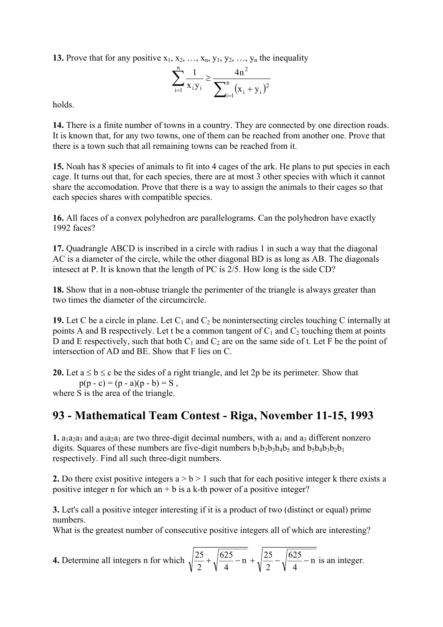**13.** Prove that for any positive  $x_1, x_2, \ldots, x_n, y_1, y_2, \ldots, y_n$  the inequality

$$
\sum_{i=1}^{n} \frac{1}{x_i y_i} \ge \frac{4n^2}{\sum_{i=1}^{n} (x_i + y_i)^2}
$$

holds.

**14.** There is a finite number of towns in a country. They are connected by one direction roads. It is known that, for any two towns, one of them can be reached from another one. Prove that there is a town such that all remaining towns can be reached from it.

**15.** Noah has 8 species of animals to fit into 4 cages of the ark. He plans to put species in each cage. It turns out that, for each species, there are at most 3 other species with which it cannot share the accomodation. Prove that there is a way to assign the animals to their cages so that each species shares with compatible species.

**16.** All faces of a convex polyhedron are parallelograms. Can the polyhedron have exactly 1992 faces?

**17.** Quadrangle ABCD is inscribed in a circle with radius 1 in such a way that the diagonal AC is a diameter of the circle, while the other diagonal BD is as long as AB. The diagonals intesect at P. It is known that the length of PC is 2/5. How long is the side CD?

**18.** Show that in a non-obtuse triangle the perimenter of the triangle is always greater than two times the diameter of the circumcircle.

**19.** Let C be a circle in plane. Let  $C_1$  and  $C_2$  be nonintersecting circles touching C internally at points A and B respectively. Let t be a common tangent of  $C_1$  and  $C_2$  touching them at points D and E respectively, such that both  $C_1$  and  $C_2$  are on the same side of t. Let F be the point of intersection of AD and BE. Show that F lies on C.

**20.** Let  $a \le b \le c$  be the sides of a right triangle, and let 2p be its perimeter. Show that  $p(p - c) = (p - a)(p - b) = S$ , where S is the area of the triangle.

# **93 - Mathematical Team Contest - Riga, November 11-15, 1993**

**1.**  $a_1a_2a_3$  and  $a_3a_2a_1$  are two three-digit decimal numbers, with  $a_1$  and  $a_3$  different nonzero digits. Squares of these numbers are five-digit numbers  $b_1b_2b_3b_4b_5$  and  $b_5b_4b_3b_2b_1$ respectively. Find all such three-digit numbers.

**2.** Do there exist positive integers  $a > b > 1$  such that for each positive integer k there exists a positive integer n for which an  $+ b$  is a k-th power of a positive integer?

**3.** Let's call a positive integer interesting if it is a product of two (distinct or equal) prime numbers.

What is the greatest number of consecutive positive integers all of which are interesting?

**4.** Determine all integers n for which  $\sqrt{\frac{25}{2}} + \sqrt{\frac{625}{1}} - n + \sqrt{\frac{25}{1}} - \sqrt{\frac{625}{1}} - n$ 4 625 2  $n + \sqrt{\frac{25}{9}}$ 4 625 2  $\frac{25}{2} + \sqrt{\frac{625}{2} - n} - \sqrt{\frac{25}{2} - \sqrt{\frac{625}{2} - n}}$  is an integer.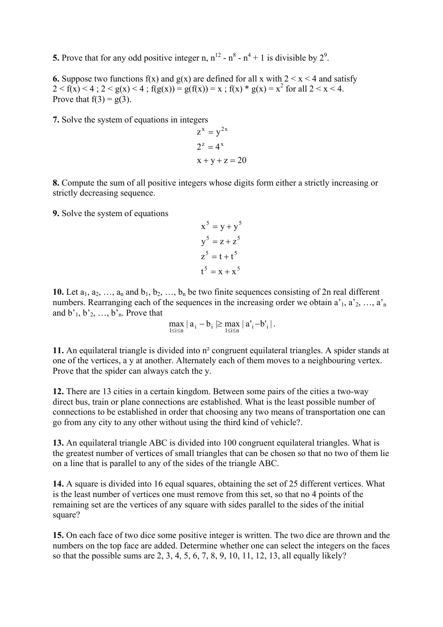**5.** Prove that for any odd positive integer n,  $n^{12} - n^8 - n^4 + 1$  is divisible by  $2^9$ .

**6.** Suppose two functions  $f(x)$  and  $g(x)$  are defined for all x with  $2 \le x \le 4$  and satisfy  $2 < f(x) < 4$ ;  $2 < g(x) < 4$ ;  $f(g(x)) = g(f(x)) = x$ ;  $f(x) * g(x) = x^2$  for all  $2 < x < 4$ . Prove that  $f(3) = g(3)$ .

**7.** Solve the system of equations in integers

$$
zx = y2x
$$
  
2<sup>z</sup> = 4<sup>x</sup>  
x + y + z = 20

**8.** Compute the sum of all positive integers whose digits form either a strictly increasing or strictly decreasing sequence.

**9.** Solve the system of equations

$$
x5 = y + y5
$$
  
\n
$$
y5 = z + z5
$$
  
\n
$$
z5 = t + t5
$$
  
\n
$$
t5 = x + x5
$$

**10.** Let  $a_1, a_2, \ldots, a_n$  and  $b_1, b_2, \ldots, b_n$  be two finite sequences consisting of 2n real different numbers. Rearranging each of the sequences in the increasing order we obtain  $a<sup>1</sup>$ ,  $a<sup>2</sup>$ , …,  $a<sup>2</sup>$ <sub>n</sub> and  $b'_1, b'_2, \ldots, b'_n$ . Prove that

$$
\max_{1\leq i\leq n} \mid a_i-b_i \mid \geq \max_{1\leq i\leq n} \mid a_i^\prime - b_i^\prime \mid.
$$

**11.** An equilateral triangle is divided into n² congruent equilateral triangles. A spider stands at one of the vertices, a y at another. Alternately each of them moves to a neighbouring vertex. Prove that the spider can always catch the y.

**12.** There are 13 cities in a certain kingdom. Between some pairs of the cities a two-way direct bus, train or plane connections are established. What is the least possible number of connections to be established in order that choosing any two means of transportation one can go from any city to any other without using the third kind of vehicle?.

**13.** An equilateral triangle ABC is divided into 100 congruent equilateral triangles. What is the greatest number of vertices of small triangles that can be chosen so that no two of them lie on a line that is parallel to any of the sides of the triangle ABC.

**14.** A square is divided into 16 equal squares, obtaining the set of 25 different vertices. What is the least number of vertices one must remove from this set, so that no 4 points of the remaining set are the vertices of any square with sides parallel to the sides of the initial square?

**15.** On each face of two dice some positive integer is written. The two dice are thrown and the numbers on the top face are added. Determine whether one can select the integers on the faces so that the possible sums are 2, 3, 4, 5, 6, 7, 8, 9, 10, 11, 12, 13, all equally likely?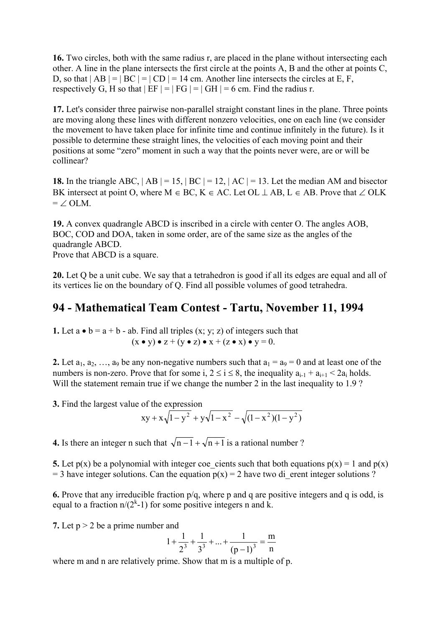**16.** Two circles, both with the same radius r, are placed in the plane without intersecting each other. A line in the plane intersects the first circle at the points A, B and the other at points C, D, so that  $|AB| = |BC| = |CD| = 14$  cm. Another line intersects the circles at E, F, respectively G, H so that  $|EF| = |FG| = |GH| = 6$  cm. Find the radius r.

**17.** Let's consider three pairwise non-parallel straight constant lines in the plane. Three points are moving along these lines with different nonzero velocities, one on each line (we consider the movement to have taken place for infinite time and continue infinitely in the future). Is it possible to determine these straight lines, the velocities of each moving point and their positions at some "zero" moment in such a way that the points never were, are or will be collinear?

**18.** In the triangle ABC,  $|AB| = 15$ ,  $|BC| = 12$ ,  $|AC| = 13$ . Let the median AM and bisector BK intersect at point O, where M  $\in$  BC, K  $\in$  AC. Let OL  $\perp$  AB, L  $\in$  AB. Prove that  $\angle$  OLK  $= \angle$  OLM.

**19.** A convex quadrangle ABCD is inscribed in a circle with center O. The angles AOB, BOC, COD and DOA, taken in some order, are of the same size as the angles of the quadrangle ABCD. Prove that ABCD is a square.

**20.** Let Q be a unit cube. We say that a tetrahedron is good if all its edges are equal and all of its vertices lie on the boundary of Q. Find all possible volumes of good tetrahedra.

### **94 - Mathematical Team Contest - Tartu, November 11, 1994**

**1.** Let  $a \cdot b = a + b - ab$ . Find all triples  $(x, y, z)$  of integers such that  $(x \bullet y) \bullet z + (y \bullet z) \bullet x + (z \bullet x) \bullet y = 0.$ 

**2.** Let  $a_1, a_2, \ldots, a_9$  be any non-negative numbers such that  $a_1 = a_9 = 0$  and at least one of the numbers is non-zero. Prove that for some i,  $2 \le i \le 8$ , the inequality  $a_{i-1} + a_{i+1} \le 2a_i$  holds. Will the statement remain true if we change the number 2 in the last inequality to 1.9 ?

**3.** Find the largest value of the expression

$$
xy + x\sqrt{1-y^2} + y\sqrt{1-x^2} - \sqrt{(1-x^2)(1-y^2)}
$$

**4.** Is there an integer n such that  $\sqrt{n-1} + \sqrt{n+1}$  is a rational number ?

**5.** Let  $p(x)$  be a polynomial with integer coe\_cients such that both equations  $p(x) = 1$  and  $p(x)$  $=$  3 have integer solutions. Can the equation  $p(x) = 2$  have two di\_erent integer solutions ?

**6.** Prove that any irreducible fraction p/q, where p and q are positive integers and q is odd, is equal to a fraction  $n/(2^k-1)$  for some positive integers n and k.

**7.** Let p > 2 be a prime number and

$$
1 + \frac{1}{2^3} + \frac{1}{3^3} + \dots + \frac{1}{(p-1)^3} = \frac{m}{n}
$$

where m and n are relatively prime. Show that m is a multiple of p.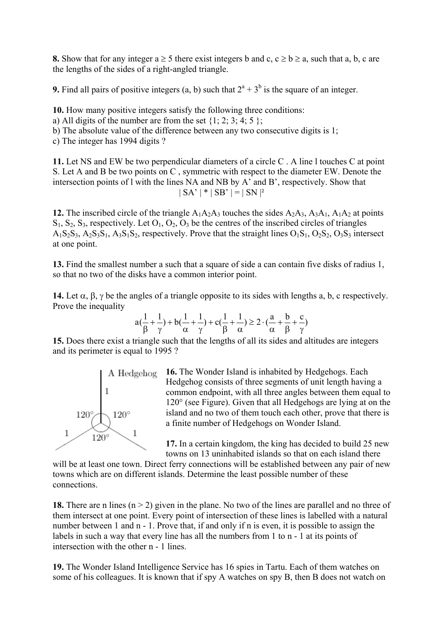**8.** Show that for any integer  $a \ge 5$  there exist integers b and c,  $c \ge b \ge a$ , such that a, b, c are the lengths of the sides of a right-angled triangle.

**9.** Find all pairs of positive integers  $(a, b)$  such that  $2^a + 3^b$  is the square of an integer.

**10.** How many positive integers satisfy the following three conditions:

a) All digits of the number are from the set  $\{1; 2; 3; 4; 5\}$ ;

b) The absolute value of the difference between any two consecutive digits is 1;

c) The integer has 1994 digits ?

**11.** Let NS and EW be two perpendicular diameters of a circle C . A line l touches C at point S. Let A and B be two points on C , symmetric with respect to the diameter EW. Denote the intersection points of l with the lines NA and NB by A' and B', respectively. Show that  $| SA' | * | SB' | = | SN |^2$ 

**12.** The inscribed circle of the triangle  $A_1A_2A_3$  touches the sides  $A_2A_3$ ,  $A_3A_1$ ,  $A_1A_2$  at points  $S_1$ ,  $S_2$ ,  $S_3$ , respectively. Let  $O_1$ ,  $O_2$ ,  $O_3$  be the centres of the inscribed circles of triangles A<sub>1</sub>S<sub>2</sub>S<sub>3</sub>, A<sub>2</sub>S<sub>3</sub>S<sub>1</sub>, A<sub>3</sub>S<sub>1</sub>S<sub>2</sub>, respectively. Prove that the straight lines O<sub>1</sub>S<sub>1</sub>, O<sub>2</sub>S<sub>2</sub>, O<sub>3</sub>S<sub>3</sub> intersect at one point.

**13.** Find the smallest number a such that a square of side a can contain five disks of radius 1, so that no two of the disks have a common interior point.

**14.** Let  $\alpha$ ,  $\beta$ ,  $\gamma$  be the angles of a triangle opposite to its sides with lengths a, b, c respectively. Prove the inequality

$$
a(\frac{1}{\beta} + \frac{1}{\gamma}) + b(\frac{1}{\alpha} + \frac{1}{\gamma}) + c(\frac{1}{\beta} + \frac{1}{\alpha}) \ge 2 \cdot (\frac{a}{\alpha} + \frac{b}{\beta} + \frac{c}{\gamma})
$$

**15.** Does there exist a triangle such that the lengths of all its sides and altitudes are integers and its perimeter is equal to 1995 ?



**16.** The Wonder Island is inhabited by Hedgehogs. Each Hedgehog consists of three segments of unit length having a common endpoint, with all three angles between them equal to 120° (see Figure). Given that all Hedgehogs are lying at on the island and no two of them touch each other, prove that there is a finite number of Hedgehogs on Wonder Island.

**17.** In a certain kingdom, the king has decided to build 25 new towns on 13 uninhabited islands so that on each island there

will be at least one town. Direct ferry connections will be established between any pair of new towns which are on different islands. Determine the least possible number of these connections.

**18.** There are n lines  $(n > 2)$  given in the plane. No two of the lines are parallel and no three of them intersect at one point. Every point of intersection of these lines is labelled with a natural number between 1 and n - 1. Prove that, if and only if n is even, it is possible to assign the labels in such a way that every line has all the numbers from 1 to n - 1 at its points of intersection with the other n - 1 lines.

**19.** The Wonder Island Intelligence Service has 16 spies in Tartu. Each of them watches on some of his colleagues. It is known that if spy A watches on spy B, then B does not watch on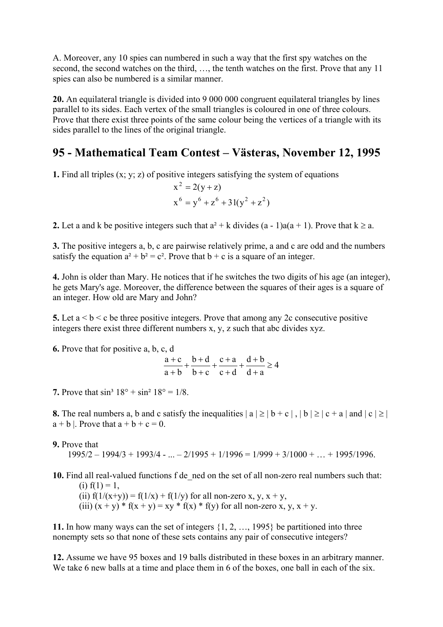A. Moreover, any 10 spies can numbered in such a way that the first spy watches on the second, the second watches on the third, …, the tenth watches on the first. Prove that any 11 spies can also be numbered is a similar manner.

**20.** An equilateral triangle is divided into 9 000 000 congruent equilateral triangles by lines parallel to its sides. Each vertex of the small triangles is coloured in one of three colours. Prove that there exist three points of the same colour being the vertices of a triangle with its sides parallel to the lines of the original triangle.

# **95 - Mathematical Team Contest – Västeras, November 12, 1995**

**1.** Find all triples (x; y; z) of positive integers satisfying the system of equations

$$
x2 = 2(y + z)
$$
  
x<sup>6</sup> = y<sup>6</sup> + z<sup>6</sup> + 31(y<sup>2</sup> + z<sup>2</sup>)

**2.** Let a and k be positive integers such that  $a^2 + k$  divides  $(a - 1)a(a + 1)$ . Prove that  $k \ge a$ .

**3.** The positive integers a, b, c are pairwise relatively prime, a and c are odd and the numbers satisfy the equation  $a^2 + b^2 = c^2$ . Prove that  $b + c$  is a square of an integer.

**4.** John is older than Mary. He notices that if he switches the two digits of his age (an integer), he gets Mary's age. Moreover, the difference between the squares of their ages is a square of an integer. How old are Mary and John?

**5.** Let  $a < b < c$  be three positive integers. Prove that among any 2c consecutive positive integers there exist three different numbers x, y, z such that abc divides xyz.

**6.** Prove that for positive a, b, c, d

4  $d + a$  $d + b$  $c + d$  $c + a$  $b + c$  $b + d$  $a + b$  $\frac{a+c}{c} + \frac{b+d}{c+a} + \frac{c+a}{c+a} + \frac{d+b}{c+a} \ge$ +  $+\frac{d+}{}$ +  $+\frac{c+}{}$ +  $+\frac{b+}{}$ + +

**7.** Prove that  $\sin^3 18^\circ + \sin^2 18^\circ = 1/8$ .

**8.** The real numbers a, b and c satisfy the inequalities  $|a| \ge |b+c|$ ,  $|b| \ge |c+a|$  and  $|c| \ge |c+1|$  $a + b$  |. Prove that  $a + b + c = 0$ .

#### **9.** Prove that

 $1995/2 - 1994/3 + 1993/4 - ... - 2/1995 + 1/1996 = 1/999 + 3/1000 + ... + 1995/1996$ .

**10.** Find all real-valued functions f de\_ned on the set of all non-zero real numbers such that: (i)  $f(1) = 1$ ,

(ii)  $f(1/(x+y)) = f(1/x) + f(1/y)$  for all non-zero x, y, x + y, (iii)  $(x + y) * f(x + y) = xy * f(x) * f(y)$  for all non-zero x, y, x + y.

**11.** In how many ways can the set of integers {1, 2, …, 1995} be partitioned into three nonempty sets so that none of these sets contains any pair of consecutive integers?

**12.** Assume we have 95 boxes and 19 balls distributed in these boxes in an arbitrary manner. We take 6 new balls at a time and place them in 6 of the boxes, one ball in each of the six.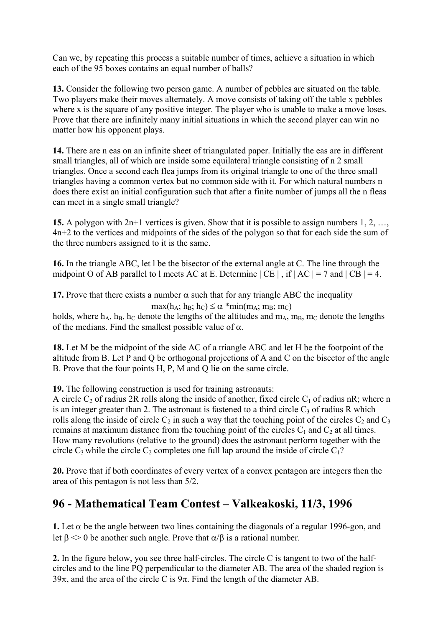Can we, by repeating this process a suitable number of times, achieve a situation in which each of the 95 boxes contains an equal number of balls?

**13.** Consider the following two person game. A number of pebbles are situated on the table. Two players make their moves alternately. A move consists of taking off the table x pebbles where x is the square of any positive integer. The player who is unable to make a move loses. Prove that there are infinitely many initial situations in which the second player can win no matter how his opponent plays.

**14.** There are n eas on an infinite sheet of triangulated paper. Initially the eas are in different small triangles, all of which are inside some equilateral triangle consisting of n 2 small triangles. Once a second each flea jumps from its original triangle to one of the three small triangles having a common vertex but no common side with it. For which natural numbers n does there exist an initial configuration such that after a finite number of jumps all the n fleas can meet in a single small triangle?

**15.** A polygon with 2n+1 vertices is given. Show that it is possible to assign numbers 1, 2, …, 4n+2 to the vertices and midpoints of the sides of the polygon so that for each side the sum of the three numbers assigned to it is the same.

**16.** In the triangle ABC, let l be the bisector of the external angle at C. The line through the midpoint O of AB parallel to l meets AC at E. Determine  $|CE|$ , if  $|AC| = 7$  and  $|CB| = 4$ .

**17.** Prove that there exists a number  $\alpha$  such that for any triangle ABC the inequality  $max(h_A; h_B; h_C) \leq \alpha * min(m_A; m_B; m_C)$ 

holds, where  $h_A$ ,  $h_B$ ,  $h_C$  denote the lengths of the altitudes and  $m_A$ ,  $m_B$ ,  $m_C$  denote the lengths of the medians. Find the smallest possible value of  $\alpha$ .

**18.** Let M be the midpoint of the side AC of a triangle ABC and let H be the footpoint of the altitude from B. Let P and Q be orthogonal projections of A and C on the bisector of the angle B. Prove that the four points H, P, M and Q lie on the same circle.

**19.** The following construction is used for training astronauts:

A circle  $C_2$  of radius 2R rolls along the inside of another, fixed circle  $C_1$  of radius nR; where n is an integer greater than 2. The astronaut is fastened to a third circle  $C_3$  of radius R which rolls along the inside of circle  $C_2$  in such a way that the touching point of the circles  $C_2$  and  $C_3$ remains at maximum distance from the touching point of the circles  $C_1$  and  $C_2$  at all times. How many revolutions (relative to the ground) does the astronaut perform together with the circle  $C_3$  while the circle  $C_2$  completes one full lap around the inside of circle  $C_1$ ?

**20.** Prove that if both coordinates of every vertex of a convex pentagon are integers then the area of this pentagon is not less than 5/2.

## **96 - Mathematical Team Contest – Valkeakoski, 11/3, 1996**

**1.** Let  $\alpha$  be the angle between two lines containing the diagonals of a regular 1996-gon, and let  $\beta \leq 0$  be another such angle. Prove that  $\alpha/\beta$  is a rational number.

**2.** In the figure below, you see three half-circles. The circle C is tangent to two of the halfcircles and to the line PQ perpendicular to the diameter AB. The area of the shaded region is 39 $\pi$ , and the area of the circle C is 9 $\pi$ . Find the length of the diameter AB.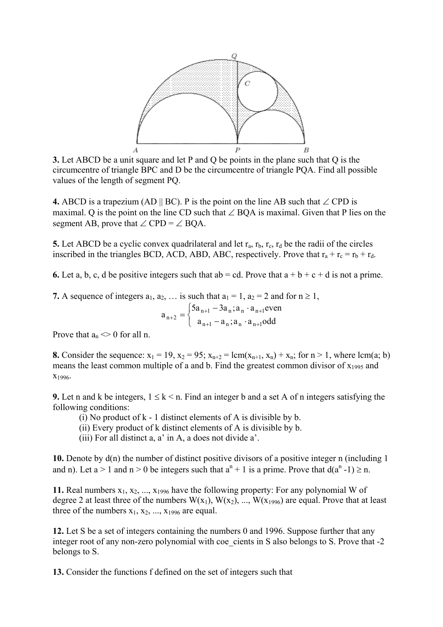

**3.** Let ABCD be a unit square and let P and Q be points in the plane such that Q is the circumcentre of triangle BPC and D be the circumcentre of triangle PQA. Find all possible values of the length of segment PQ.

**4.** ABCD is a trapezium (AD  $||$  BC). P is the point on the line AB such that ∠ CPD is maximal. Q is the point on the line CD such that  $\angle$  BOA is maximal. Given that P lies on the segment AB, prove that  $\angle$  CPD =  $\angle$  BOA.

**5.** Let ABCD be a cyclic convex quadrilateral and let  $r_a$ ,  $r_b$ ,  $r_c$ ,  $r_d$  be the radii of the circles inscribed in the triangles BCD, ACD, ABD, ABC, respectively. Prove that  $r_a + r_c = r_b + r_d$ .

**6.** Let a, b, c, d be positive integers such that  $ab = cd$ . Prove that  $a + b + c + d$  is not a prime.

**7.** A sequence of integers  $a_1, a_2, \ldots$  is such that  $a_1 = 1$ ,  $a_2 = 2$  and for  $n \ge 1$ ,

$$
a_{n+2} = \begin{cases} 5a_{n+1} - 3a_n; a_n \cdot a_{n+1} \text{even} \\ a_{n+1} - a_n; a_n \cdot a_{n+1} \text{odd} \end{cases}
$$

Prove that  $a_n \leq 0$  for all n.

**8.** Consider the sequence:  $x_1 = 19$ ,  $x_2 = 95$ ;  $x_{n+2} = lcm(x_{n+1}, x_n) + x_n$ ; for  $n > 1$ , where lcm(a; b) means the least common multiple of a and b. Find the greatest common divisor of  $x_{1995}$  and x1996.

**9.** Let n and k be integers,  $1 \leq k \leq n$ . Find an integer b and a set A of n integers satisfying the following conditions:

- (i) No product of k 1 distinct elements of A is divisible by b.
- (ii) Every product of k distinct elements of A is divisible by b.
- (iii) For all distinct a, a' in A, a does not divide a'.

**10.** Denote by d(n) the number of distinct positive divisors of a positive integer n (including 1 and n). Let  $a > 1$  and  $n > 0$  be integers such that  $a^n + 1$  is a prime. Prove that  $d(a^n - 1) \ge n$ .

**11.** Real numbers  $x_1, x_2, ..., x_{1996}$  have the following property: For any polynomial W of degree 2 at least three of the numbers  $W(x_1)$ ,  $W(x_2)$ , ...,  $W(x_{1996})$  are equal. Prove that at least three of the numbers  $x_1, x_2, ..., x_{1996}$  are equal.

**12.** Let S be a set of integers containing the numbers 0 and 1996. Suppose further that any integer root of any non-zero polynomial with coe cients in S also belongs to S. Prove that -2 belongs to S.

**13.** Consider the functions f defined on the set of integers such that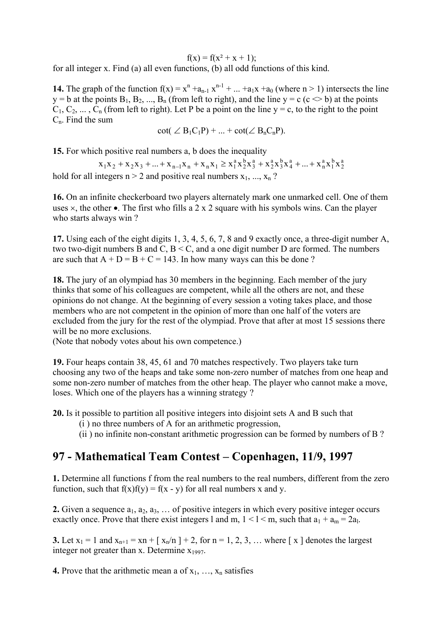$f(x) = f(x^2 + x + 1);$ 

for all integer x. Find (a) all even functions, (b) all odd functions of this kind.

**14.** The graph of the function  $f(x) = x^n + a_{n-1}x^{n-1} + ... + a_1x + a_0$  (where  $n > 1$ ) intersects the line y = b at the points  $B_1, B_2, ..., B_n$  (from left to right), and the line y = c (c  $\leq b$ ) at the points  $C_1, C_2, \ldots, C_n$  (from left to right). Let P be a point on the line y = c, to the right to the point  $C_n$ . Find the sum

$$
\cot(\angle B_1C_1P) + ... + \cot(\angle B_nC_nP).
$$

**15.** For which positive real numbers a, b does the inequality  $\frac{15.6 \text{ m/s}}{10.6 \text{ m/s}^2}$ 

2 b 1 a n a 4 b 3 a 2 a 3 b 2  $x_1x_2 + x_2x_3 + ... + x_{n-1}x_n + x_nx_1 \ge x_1^a x_2^b x_3^a + x_2^a x_3^b x_4^a + ... + x_n^a x_1^b x_2^b$ hold for all integers  $n > 2$  and positive real numbers  $x_1, ..., x_n$ ?

**16.** On an infinite checkerboard two players alternately mark one unmarked cell. One of them uses  $\times$ , the other •. The first who fills a 2 x 2 square with his symbols wins. Can the player who starts always win ?

**17.** Using each of the eight digits 1, 3, 4, 5, 6, 7, 8 and 9 exactly once, a three-digit number A, two two-digit numbers B and C, B < C, and a one digit number D are formed. The numbers are such that  $A + D = B + C = 143$ . In how many ways can this be done ?

**18.** The jury of an olympiad has 30 members in the beginning. Each member of the jury thinks that some of his colleagues are competent, while all the others are not, and these opinions do not change. At the beginning of every session a voting takes place, and those members who are not competent in the opinion of more than one half of the voters are excluded from the jury for the rest of the olympiad. Prove that after at most 15 sessions there will be no more exclusions.

(Note that nobody votes about his own competence.)

**19.** Four heaps contain 38, 45, 61 and 70 matches respectively. Two players take turn choosing any two of the heaps and take some non-zero number of matches from one heap and some non-zero number of matches from the other heap. The player who cannot make a move, loses. Which one of the players has a winning strategy ?

**20.** Is it possible to partition all positive integers into disjoint sets A and B such that

- (i ) no three numbers of A for an arithmetic progression,
- (ii ) no infinite non-constant arithmetic progression can be formed by numbers of B ?

## **97 - Mathematical Team Contest – Copenhagen, 11/9, 1997**

**1.** Determine all functions f from the real numbers to the real numbers, different from the zero function, such that  $f(x)f(y) = f(x - y)$  for all real numbers x and y.

**2.** Given a sequence  $a_1, a_2, a_3, \ldots$  of positive integers in which every positive integer occurs exactly once. Prove that there exist integers 1 and m,  $1 < l < m$ , such that  $a_1 + a_m = 2a_l$ .

**3.** Let  $x_1 = 1$  and  $x_{n+1} = xn + [x_n/n] + 2$ , for  $n = 1, 2, 3, ...$  where [x ] denotes the largest integer not greater than x. Determine  $x_{1997}$ .

**4.** Prove that the arithmetic mean a of  $x_1, \ldots, x_n$  satisfies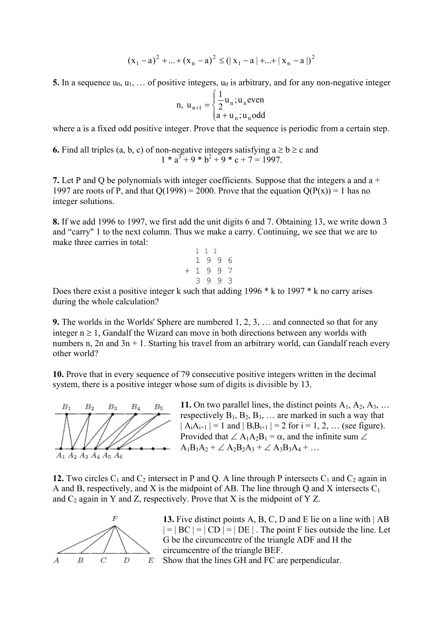$$
(x_1 - a)^2 + ... + (x_n - a)^2 \leq (|x_1 - a| + ... + |x_n - a|)^2
$$

**5.** In a sequence  $u_0, u_1, \ldots$  of positive integers,  $u_0$  is arbitrary, and for any non-negative integer

n, 
$$
u_{n+1} = \begin{cases} \frac{1}{2}u_n; u_n \text{even} \\ a + u_n; u_n \text{odd} \end{cases}
$$

where a is a fixed odd positive integer. Prove that the sequence is periodic from a certain step.

**6.** Find all triples (a, b, c) of non-negative integers satisfying  $a \ge b \ge c$  and  $1 * a<sup>3</sup> + 9 * b<sup>2</sup> + 9 * c + 7 = 1997.$ 

**7.** Let P and Q be polynomials with integer coefficients. Suppose that the integers a and a + 1997 are roots of P, and that  $Q(1998) = 2000$ . Prove that the equation  $Q(P(x)) = 1$  has no integer solutions.

**8.** If we add 1996 to 1997, we first add the unit digits 6 and 7. Obtaining 13, we write down 3 and "carry" 1 to the next column. Thus we make a carry. Continuing, we see that we are to make three carries in total:

$$
\begin{array}{cccc}\n & 1 & 1 & 1 \\
& 1 & 9 & 9 & 6 \\
+ & 1 & 9 & 9 & 7 \\
& 3 & 9 & 9 & 3\n \end{array}
$$

Does there exist a positive integer k such that adding 1996  $*$  k to 1997  $*$  k no carry arises during the whole calculation?

**9.** The worlds in the Worlds' Sphere are numbered 1, 2, 3, … and connected so that for any integer  $n \geq 1$ , Gandalf the Wizard can move in both directions between any worlds with numbers n,  $2n$  and  $3n + 1$ . Starting his travel from an arbitrary world, can Gandalf reach every other world?

**10.** Prove that in every sequence of 79 consecutive positive integers written in the decimal system, there is a positive integer whose sum of digits is divisible by 13.



**11.** On two parallel lines, the distinct points  $A_1$ ,  $A_2$ ,  $A_3$ , ... respectively  $B_1, B_2, B_3, \ldots$  are marked in such a way that  $|A_iA_{i+1}| = 1$  and  $|B_iB_{i+1}| = 2$  for  $i = 1, 2, ...$  (see figure). Provided that  $\angle A_1A_2B_1 = \alpha$ , and the infinite sum  $\angle$  $A_1B_1A_2 + \angle A_2B_2A_3 + \angle A_3B_3A_4 + ...$ 

**12.** Two circles  $C_1$  and  $C_2$  intersect in P and Q. A line through P intersects  $C_1$  and  $C_2$  again in A and B, respectively, and X is the midpoint of AB. The line through Q and X intersects  $C_1$ and  $C_2$  again in Y and Z, respectively. Prove that X is the midpoint of Y Z.



**13.** Five distinct points A, B, C, D and E lie on a line with | AB  $| = | BC | = | CD | = | DE |$ . The point F lies outside the line. Let G be the circumcentre of the triangle ADF and H the circumcentre of the triangle BEF. Show that the lines GH and FC are perpendicular.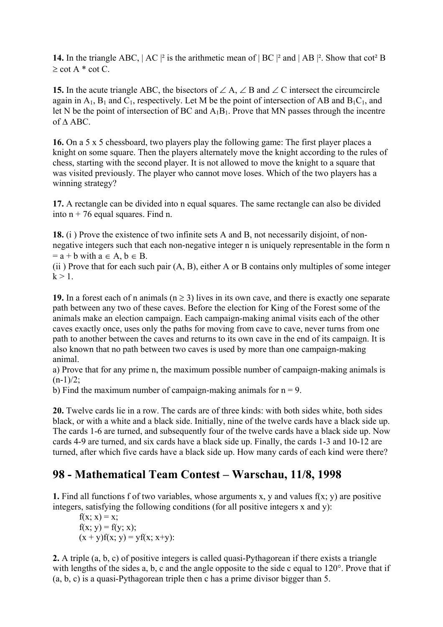**14.** In the triangle ABC,  $|AC|^2$  is the arithmetic mean of  $|BC|^2$  and  $|AB|^2$ . Show that cot<sup>2</sup> B  $\ge$  cot A  $*$  cot C.

**15.** In the acute triangle ABC, the bisectors of  $\angle A$ ,  $\angle B$  and  $\angle C$  intersect the circumcircle again in  $A_1$ ,  $B_1$  and  $C_1$ , respectively. Let M be the point of intersection of AB and  $B_1C_1$ , and let N be the point of intersection of BC and  $A_1B_1$ . Prove that MN passes through the incentre of ∆ ABC.

**16.** On a 5 x 5 chessboard, two players play the following game: The first player places a knight on some square. Then the players alternately move the knight according to the rules of chess, starting with the second player. It is not allowed to move the knight to a square that was visited previously. The player who cannot move loses. Which of the two players has a winning strategy?

**17.** A rectangle can be divided into n equal squares. The same rectangle can also be divided into  $n + 76$  equal squares. Find n.

**18.** (i ) Prove the existence of two infinite sets A and B, not necessarily disjoint, of nonnegative integers such that each non-negative integer n is uniquely representable in the form n  $=$  a + b with  $a \in A$ ,  $b \in B$ .

(ii ) Prove that for each such pair (A, B), either A or B contains only multiples of some integer  $k > 1$ 

**19.** In a forest each of n animals ( $n \ge 3$ ) lives in its own cave, and there is exactly one separate path between any two of these caves. Before the election for King of the Forest some of the animals make an election campaign. Each campaign-making animal visits each of the other caves exactly once, uses only the paths for moving from cave to cave, never turns from one path to another between the caves and returns to its own cave in the end of its campaign. It is also known that no path between two caves is used by more than one campaign-making animal.

a) Prove that for any prime n, the maximum possible number of campaign-making animals is  $(n-1)/2$ ;

b) Find the maximum number of campaign-making animals for  $n = 9$ .

**20.** Twelve cards lie in a row. The cards are of three kinds: with both sides white, both sides black, or with a white and a black side. Initially, nine of the twelve cards have a black side up. The cards 1-6 are turned, and subsequently four of the twelve cards have a black side up. Now cards 4-9 are turned, and six cards have a black side up. Finally, the cards 1-3 and 10-12 are turned, after which five cards have a black side up. How many cards of each kind were there?

## **98 - Mathematical Team Contest – Warschau, 11/8, 1998**

**1.** Find all functions f of two variables, whose arguments x, y and values  $f(x, y)$  are positive integers, satisfying the following conditions (for all positive integers x and y):

 $f(x; x) = x;$  $f(x; y) = f(y; x);$  $(x + y)f(x; y) = yf(x; x+y)$ :

**2.** A triple (a, b, c) of positive integers is called quasi-Pythagorean if there exists a triangle with lengths of the sides a, b, c and the angle opposite to the side c equal to 120°. Prove that if (a, b, c) is a quasi-Pythagorean triple then c has a prime divisor bigger than 5.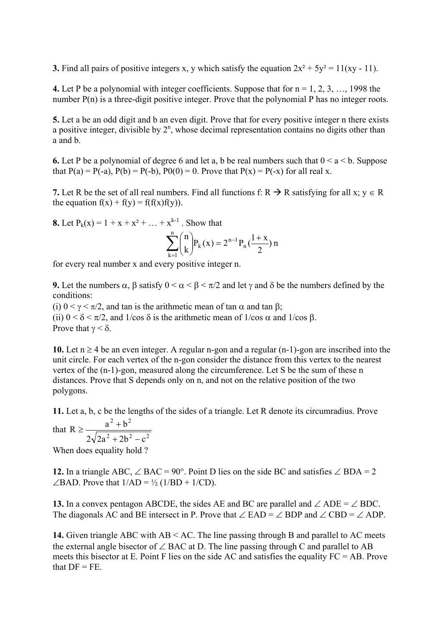**3.** Find all pairs of positive integers x, y which satisfy the equation  $2x^2 + 5y^2 = 11(xy - 11)$ .

**4.** Let P be a polynomial with integer coefficients. Suppose that for  $n = 1, 2, 3, \ldots, 1998$  the number P(n) is a three-digit positive integer. Prove that the polynomial P has no integer roots.

**5.** Let a be an odd digit and b an even digit. Prove that for every positive integer n there exists a positive integer, divisible by  $2^n$ , whose decimal representation contains no digits other than a and b.

**6.** Let P be a polynomial of degree 6 and let a, b be real numbers such that  $0 \le a \le b$ . Suppose that  $P(a) = P(-a)$ ,  $P(b) = P(-b)$ ,  $P(0) = 0$ . Prove that  $P(x) = P(-x)$  for all real x.

**7.** Let R be the set of all real numbers. Find all functions f:  $R \rightarrow R$  satisfying for all x;  $y \in R$ the equation  $f(x) + f(y) = f(f(x)f(y))$ .

**8.** Let  $P_k(x) = 1 + x + x^2 + ... + x^{k-1}$ . Show that

$$
\sum_{k=1}^{n} {n \choose k} P_k(x) = 2^{n-1} P_n(\frac{1+x}{2}) n
$$

for every real number x and every positive integer n.

**9.** Let the numbers  $\alpha$ ,  $\beta$  satisfy  $0 \le \alpha \le \beta \le \pi/2$  and let  $\gamma$  and  $\delta$  be the numbers defined by the conditions:

(i)  $0 < \gamma < \pi/2$ , and tan is the arithmetic mean of tan  $\alpha$  and tan  $\beta$ ; (ii)  $0 < \delta < \pi/2$ , and  $1/\cos \delta$  is the arithmetic mean of  $1/\cos \alpha$  and  $1/\cos \beta$ . Prove that  $\gamma < \delta$ .

**10.** Let  $n \ge 4$  be an even integer. A regular n-gon and a regular  $(n-1)$ -gon are inscribed into the unit circle. For each vertex of the n-gon consider the distance from this vertex to the nearest vertex of the (n-1)-gon, measured along the circumference. Let S be the sum of these n distances. Prove that S depends only on n, and not on the relative position of the two polygons.

**11.** Let a, b, c be the lengths of the sides of a triangle. Let R denote its circumradius. Prove 2  $\mu$  2  $R \geq \frac{a^2 + b}{\sqrt{a^2 + b^2}}$  $\geq \frac{a^2 + b^2}{\sqrt{a^2 + b^2}}$ 

that R  $\geq \frac{a+b}{2\sqrt{2a^2+2b^2-a^2}}$  $2\sqrt{2a^2+2b^2}-c$  $+ 2b^2 -$ 

When does equality hold ?

**12.** In a triangle ABC, ∠ BAC = 90°. Point D lies on the side BC and satisfies ∠ BDA = 2  $\angle$ BAD. Prove that  $1/AD = \frac{1}{2} (1/BD + 1/CD)$ .

**13.** In a convex pentagon ABCDE, the sides AE and BC are parallel and  $\angle$  ADE =  $\angle$  BDC. The diagonals AC and BE intersect in P. Prove that  $\angle$  EAD =  $\angle$  BDP and  $\angle$  CBD =  $\angle$  ADP.

**14.** Given triangle ABC with AB < AC. The line passing through B and parallel to AC meets the external angle bisector of  $\angle$  BAC at D. The line passing through C and parallel to AB meets this bisector at E. Point F lies on the side AC and satisfies the equality  $FC = AB$ . Prove that  $DF = FE$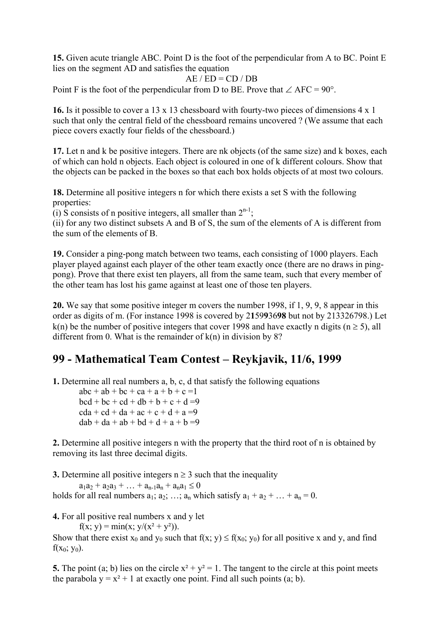**15.** Given acute triangle ABC. Point D is the foot of the perpendicular from A to BC. Point E lies on the segment AD and satisfies the equation

$$
AE / ED = CD / DB
$$

Point F is the foot of the perpendicular from D to BE. Prove that  $\angle$  AFC = 90°.

**16.** Is it possible to cover a 13 x 13 chessboard with fourty-two pieces of dimensions 4 x 1 such that only the central field of the chessboard remains uncovered ? (We assume that each piece covers exactly four fields of the chessboard.)

**17.** Let n and k be positive integers. There are nk objects (of the same size) and k boxes, each of which can hold n objects. Each object is coloured in one of k different colours. Show that the objects can be packed in the boxes so that each box holds objects of at most two colours.

**18.** Determine all positive integers n for which there exists a set S with the following properties:

(i) S consists of n positive integers, all smaller than  $2^{n-1}$ ;

(ii) for any two distinct subsets A and B of S, the sum of the elements of A is different from the sum of the elements of B.

**19.** Consider a ping-pong match between two teams, each consisting of 1000 players. Each player played against each player of the other team exactly once (there are no draws in pingpong). Prove that there exist ten players, all from the same team, such that every member of the other team has lost his game against at least one of those ten players.

**20.** We say that some positive integer m covers the number 1998, if 1, 9, 9, 8 appear in this order as digits of m. (For instance 1998 is covered by 2**1**59**9**36**98** but not by 213326798.) Let k(n) be the number of positive integers that cover 1998 and have exactly n digits ( $n \ge 5$ ), all different from 0. What is the remainder of  $k(n)$  in division by 8?

# **99 - Mathematical Team Contest – Reykjavik, 11/6, 1999**

**1.** Determine all real numbers a, b, c, d that satisfy the following equations

 $abc + ab + bc + ca + a + b + c = 1$  $bcd + bc + cd + db + b + c + d = 9$  $cda + cd + da + ac + c + d + a = 9$  $dab + da + ab + bd + d + a + b = 9$ 

**2.** Determine all positive integers n with the property that the third root of n is obtained by removing its last three decimal digits.

**3.** Determine all positive integers  $n \ge 3$  such that the inequality

 $a_1a_2 + a_2a_3 + \ldots + a_{n-1}a_n + a_na_1 \leq 0$ holds for all real numbers  $a_1$ ;  $a_2$ ; …;  $a_n$  which satisfy  $a_1 + a_2 + ... + a_n = 0$ .

**4.** For all positive real numbers x and y let

 $f(x; y) = min(x; y/(x^2 + y^2)).$ 

Show that there exist  $x_0$  and  $y_0$  such that  $f(x; y) \le f(x_0; y_0)$  for all positive x and y, and find  $f(x_0; y_0)$ .

**5.** The point (a; b) lies on the circle  $x^2 + y^2 = 1$ . The tangent to the circle at this point meets the parabola  $y = x^2 + 1$  at exactly one point. Find all such points (a; b).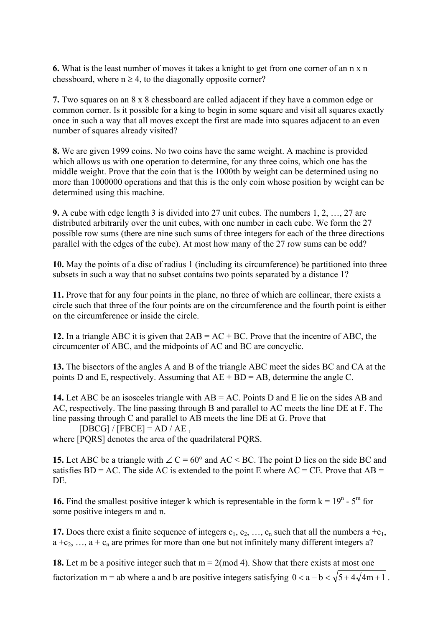**6.** What is the least number of moves it takes a knight to get from one corner of an n x n chessboard, where  $n \geq 4$ , to the diagonally opposite corner?

**7.** Two squares on an 8 x 8 chessboard are called adjacent if they have a common edge or common corner. Is it possible for a king to begin in some square and visit all squares exactly once in such a way that all moves except the first are made into squares adjacent to an even number of squares already visited?

**8.** We are given 1999 coins. No two coins have the same weight. A machine is provided which allows us with one operation to determine, for any three coins, which one has the middle weight. Prove that the coin that is the 1000th by weight can be determined using no more than 1000000 operations and that this is the only coin whose position by weight can be determined using this machine.

**9.** A cube with edge length 3 is divided into 27 unit cubes. The numbers 1, 2, …, 27 are distributed arbitrarily over the unit cubes, with one number in each cube. We form the 27 possible row sums (there are nine such sums of three integers for each of the three directions parallel with the edges of the cube). At most how many of the 27 row sums can be odd?

**10.** May the points of a disc of radius 1 (including its circumference) be partitioned into three subsets in such a way that no subset contains two points separated by a distance 1?

**11.** Prove that for any four points in the plane, no three of which are collinear, there exists a circle such that three of the four points are on the circumference and the fourth point is either on the circumference or inside the circle.

**12.** In a triangle ABC it is given that 2AB = AC + BC. Prove that the incentre of ABC, the circumcenter of ABC, and the midpoints of AC and BC are concyclic.

**13.** The bisectors of the angles A and B of the triangle ABC meet the sides BC and CA at the points D and E, respectively. Assuming that  $AE + BD = AB$ , determine the angle C.

**14.** Let ABC be an isosceles triangle with AB = AC. Points D and E lie on the sides AB and AC, respectively. The line passing through B and parallel to AC meets the line DE at F. The line passing through C and parallel to AB meets the line DE at G. Prove that

$$
[DBCG] / [FBCE] = AD / AE ,
$$

where [PORS] denotes the area of the quadrilateral PORS.

**15.** Let ABC be a triangle with  $\angle C = 60^{\circ}$  and AC < BC. The point D lies on the side BC and satisfies  $BD = AC$ . The side AC is extended to the point E where AC = CE. Prove that AB = DE.

**16.** Find the smallest positive integer k which is representable in the form  $k = 19<sup>n</sup> - 5<sup>m</sup>$  for some positive integers m and n.

**17.** Does there exist a finite sequence of integers  $c_1, c_2, ..., c_n$  such that all the numbers a +c<sub>1</sub>,  $a + c_2, \ldots, a + c_n$  are primes for more than one but not infinitely many different integers a?

**18.** Let m be a positive integer such that  $m = 2 \pmod{4}$ . Show that there exists at most one factorization m = ab where a and b are positive integers satisfying  $0 < a - b < \sqrt{5 + 4\sqrt{4m+1}}$ .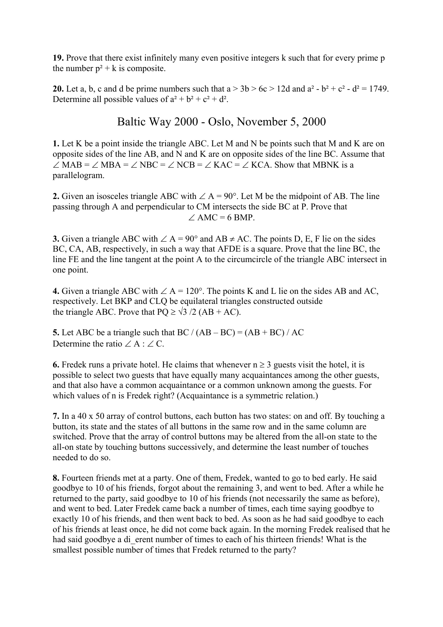**19.** Prove that there exist infinitely many even positive integers k such that for every prime p the number  $p^2 + k$  is composite.

**20.** Let a, b, c and d be prime numbers such that  $a > 3b > 6c > 12d$  and  $a^2 - b^2 + c^2 - d^2 = 1749$ . Determine all possible values of  $a^2 + b^2 + c^2 + d^2$ .

Baltic Way 2000 - Oslo, November 5, 2000

**1.** Let K be a point inside the triangle ABC. Let M and N be points such that M and K are on opposite sides of the line AB, and N and K are on opposite sides of the line BC. Assume that  $\angle$  MAB =  $\angle$  MBA =  $\angle$  NBC =  $\angle$  NCB =  $\angle$  KAC =  $\angle$  KCA. Show that MBNK is a parallelogram.

**2.** Given an isosceles triangle ABC with ∠ A = 90°. Let M be the midpoint of AB. The line passing through A and perpendicular to CM intersects the side BC at P. Prove that  $\angle$  AMC = 6 BMP.

**3.** Given a triangle ABC with ∠ A = 90° and AB ≠ AC. The points D, E, F lie on the sides BC, CA, AB, respectively, in such a way that AFDE is a square. Prove that the line BC, the line FE and the line tangent at the point A to the circumcircle of the triangle ABC intersect in one point.

**4.** Given a triangle ABC with ∠ A = 120°. The points K and L lie on the sides AB and AC, respectively. Let BKP and CLQ be equilateral triangles constructed outside the triangle ABC. Prove that  $PQ \ge \sqrt{3}/2$  (AB + AC).

**5.** Let ABC be a triangle such that BC /  $(AB - BC) = (AB + BC) / AC$ Determine the ratio  $\angle A : \angle C$ .

**6.** Fredek runs a private hotel. He claims that whenever  $n \ge 3$  guests visit the hotel, it is possible to select two guests that have equally many acquaintances among the other guests, and that also have a common acquaintance or a common unknown among the guests. For which values of n is Fredek right? (Acquaintance is a symmetric relation.)

**7.** In a 40 x 50 array of control buttons, each button has two states: on and off. By touching a button, its state and the states of all buttons in the same row and in the same column are switched. Prove that the array of control buttons may be altered from the all-on state to the all-on state by touching buttons successively, and determine the least number of touches needed to do so.

**8.** Fourteen friends met at a party. One of them, Fredek, wanted to go to bed early. He said goodbye to 10 of his friends, forgot about the remaining 3, and went to bed. After a while he returned to the party, said goodbye to 10 of his friends (not necessarily the same as before), and went to bed. Later Fredek came back a number of times, each time saying goodbye to exactly 10 of his friends, and then went back to bed. As soon as he had said goodbye to each of his friends at least once, he did not come back again. In the morning Fredek realised that he had said goodbye a di erent number of times to each of his thirteen friends! What is the smallest possible number of times that Fredek returned to the party?